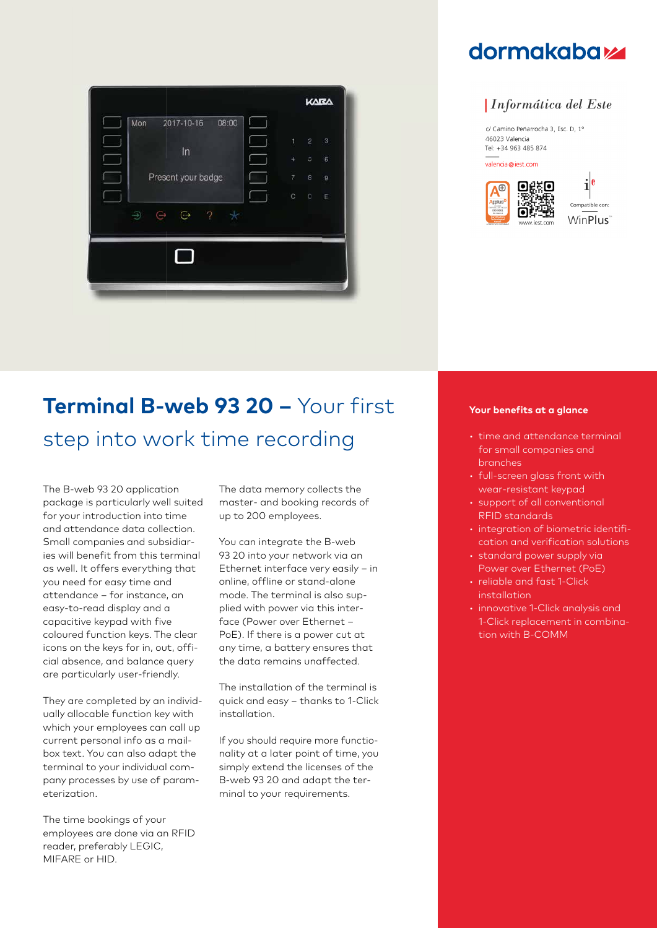

## **dormakabazz**

## *Informática del Este*

c/ Camino Peñarrocha 3, Esc. D, 1º 46023 Valencia Tel: +34 963 485 874

valencia@iest.com



### Compatible con: WinPlus<sup>®</sup>

# **Terminal B-web 93 20 –** Your first step into work time recording

The B-web 93 20 application package is particularly well suited for your introduction into time and attendance data collection. Small companies and subsidiaries will benefit from this terminal as well. It offers everything that you need for easy time and attendance – for instance, an easy-to-read display and a capacitive keypad with five coloured function keys. The clear icons on the keys for in, out, official absence, and balance query are particularly user-friendly.

They are completed by an individually allocable function key with which your employees can call up current personal info as a mailbox text. You can also adapt the terminal to your individual company processes by use of parameterization.

The time bookings of your employees are done via an RFID reader, preferably LEGIC, MIFARE or HID.

The data memory collects the master- and booking records of up to 200 employees.

You can integrate the B-web 93 20 into your network via an Ethernet interface very easily – in online, offline or stand-alone mode. The terminal is also supplied with power via this interface (Power over Ethernet – PoE). If there is a power cut at any time, a battery ensures that the data remains unaffected.

The installation of the terminal is quick and easy – thanks to 1-Click installation.

If you should require more functionality at a later point of time, you simply extend the licenses of the B-web 93 20 and adapt the terminal to your requirements.

### **Your benefits at a glance**

- time and attendance terminal for small companies and branches
- full-screen glass front with wear-resistant keypad
- support of all conventional RFID standards
- integration of biometric identification and verification solutions
- standard power supply via Power over Ethernet (PoE)
- reliable and fast 1-Click installation
- innovative 1-Click analysis and 1-Click replacement in combination with B-COMM